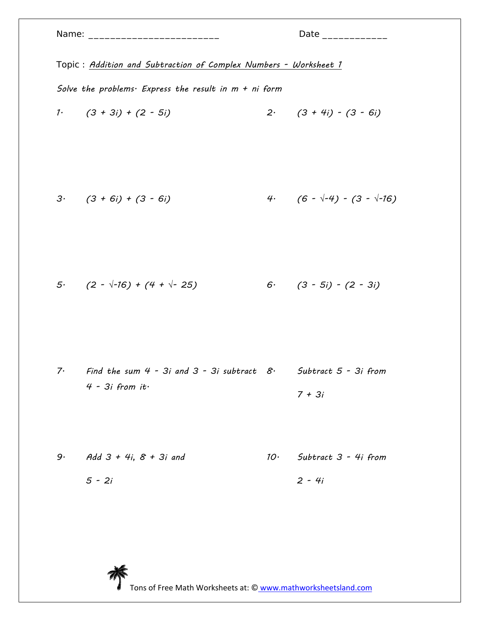|    | Topic: Addition and Subtraction of Complex Numbers - Worksheet 1                            |                 |                                         |  |
|----|---------------------------------------------------------------------------------------------|-----------------|-----------------------------------------|--|
|    | Solve the problems. Express the result in $m + ni$ form                                     |                 |                                         |  |
|    | $1.$ $(3 + 3i) + (2 - 5i)$                                                                  |                 | $2 \cdot (3 + 4i) - (3 - 6i)$           |  |
|    | $3 \cdot (3 + 6i) + (3 - 6i)$                                                               |                 | 4. $(6 - \sqrt{-4}) - (3 - \sqrt{-16})$ |  |
|    | 5. $(2 - \sqrt{-16}) + (4 + \sqrt{-25})$                                                    |                 | $6.$ $(3 - 5i) - (2 - 3i)$              |  |
| 7. | Find the sum 4 - 3i and 3 - 3i subtract $8 \cdot$ Subtract 5 - 3i from<br>$4 - 3i$ from it. |                 | $7 + 3i$                                |  |
| 9. | Add $3 + 4i$ , $8 + 3i$ and<br>$5 - 2i$                                                     | 10 <sup>1</sup> | Subtract 3 - 4i from<br>$2 - 4i$        |  |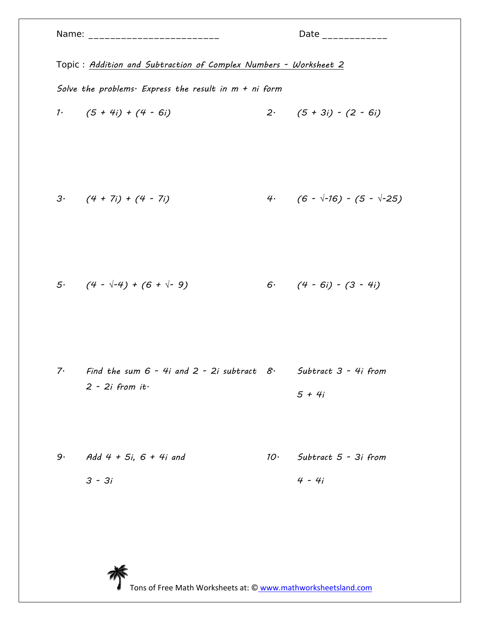|    |                                                                                           | Date ______________                      |
|----|-------------------------------------------------------------------------------------------|------------------------------------------|
|    | Topic: Addition and Subtraction of Complex Numbers - Worksheet 2                          |                                          |
|    | Solve the problems. Express the result in $m + ni$ form                                   |                                          |
|    | 1. $(5 + 4i) + (4 - 6i)$                                                                  | $2 \cdot (5 + 3i) - (2 - 6i)$            |
|    | $3 \cdot (4 + 7i) + (4 - 7i)$                                                             | 4. $(6 - \sqrt{-16}) - (5 - \sqrt{-25})$ |
|    | 5. $(4 - \sqrt{-4}) + (6 + \sqrt{-9})$                                                    | 6. $(4 - 6i) - (3 - 4i)$                 |
| 7. | Find the sum $6$ - 4i and 2 - 2i subtract $8$ · Subtract 3 - 4i from<br>$2 - 2i$ from it. | $5 + 4i$                                 |
| 9. | Add 4 + 5i, 6 + 4i and<br>$3 - 3i$                                                        | $10.$ Subtract $5 - 3i$ from<br>$4 - 4i$ |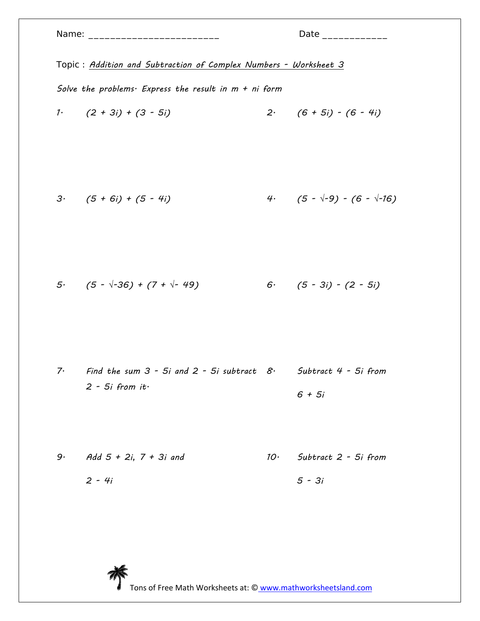| Topic: Addition and Subtraction of Complex Numbers - Worksheet 3 |                                                                                           |                 |                                         |  |
|------------------------------------------------------------------|-------------------------------------------------------------------------------------------|-----------------|-----------------------------------------|--|
| Solve the problems. Express the result in $m + ni$ form          |                                                                                           |                 |                                         |  |
|                                                                  | 1. $(2 + 3i) + (3 - 5i)$                                                                  |                 | $2 \cdot (6 + 5i) - (6 - 4i)$           |  |
|                                                                  | $3 \cdot (5 + 6i) + (5 - 4i)$                                                             |                 | 4. $(5 - \sqrt{-9}) - (6 - \sqrt{-16})$ |  |
|                                                                  | 5 $(5 - \sqrt{-36}) + (7 + \sqrt{-49})$                                                   |                 | $6.$ $(5 - 3i) - (2 - 5i)$              |  |
| 7.                                                               | Find the sum $3$ - 5i and 2 - 5i subtract $8$ · Subtract 4 - 5i from<br>$2 - 5i$ from it. |                 | $6 + 5i$                                |  |
| 9.                                                               | Add $5 + 2i$ , $7 + 3i$ and                                                               | 10 <sup>°</sup> | Subtract 2 - 5i from                    |  |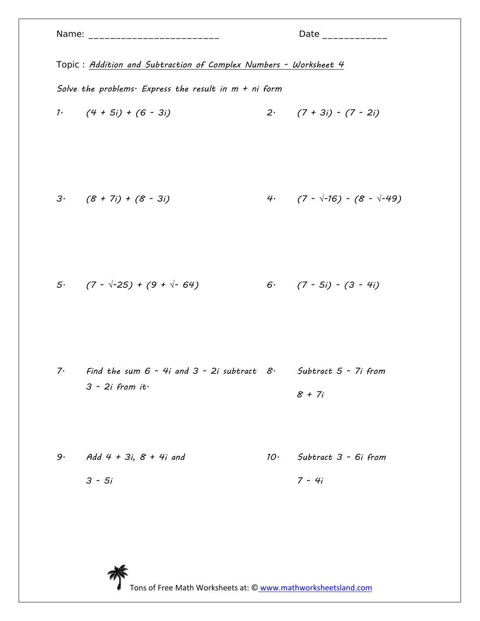|          | Topic: Addition and Subtraction of Complex Numbers - Worksheet 4                              |                                          |
|----------|-----------------------------------------------------------------------------------------------|------------------------------------------|
|          | Solve the problems. Express the result in $m + ni$ form<br>1. $(4 + 5i) + (6 - 3i)$           | $2 \cdot (7 + 3i) - (7 - 2i)$            |
|          | $3 \cdot (8 + 7i) + (8 - 3i)$                                                                 | 4. $(7 - \sqrt{-16}) - (8 - \sqrt{-49})$ |
|          | 5. $(7 - \sqrt{-25}) + (9 + \sqrt{-64})$                                                      | 6. $(7 - 5i) - (3 - 4i)$                 |
| $7\cdot$ | Find the sum $6$ - 4i and $3$ - 2i subtract $8$ · Subtract $5$ - 7i from<br>$3 - 2i$ from it. | $8 + 7i$                                 |
| 9.       | Add 4 + 3i, $8$ + 4i and<br>$3 - 5i$                                                          | $10.$ Subtract $3 - 6i$ from<br>$7 - 4i$ |